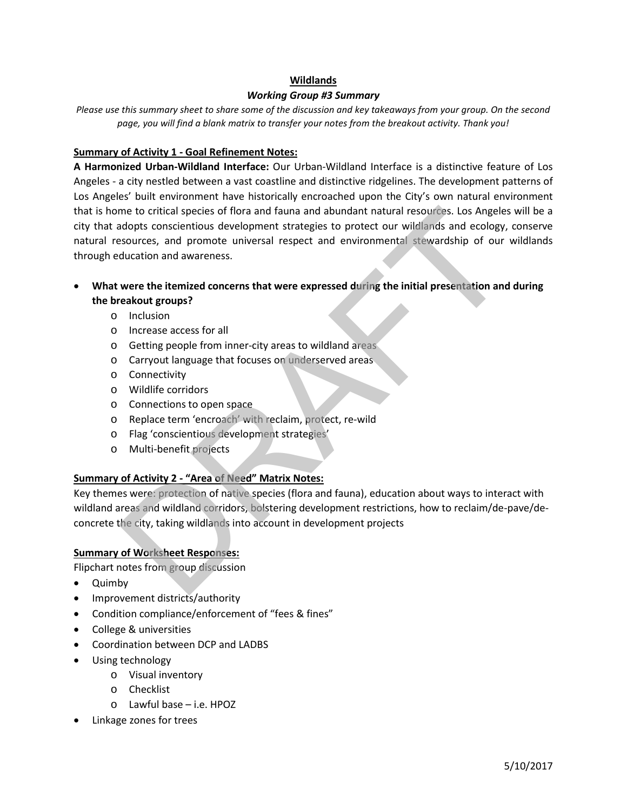### **Wildlands**

### *Working Group #3 Summary*

*Please use this summary sheet to share some of the discussion and key takeaways from your group. On the second page, you will find a blank matrix to transfer your notes from the breakout activity. Thank you!*

### **Summary of Activity 1 - Goal Refinement Notes:**

**A Harmonized Urban-Wildland Interface:** Our Urban-Wildland Interface is a distinctive feature of Los Angeles - a city nestled between a vast coastline and distinctive ridgelines. The development patterns of Los Angeles' built environment have historically encroached upon the City's own natural environment that is home to critical species of flora and fauna and abundant natural resources. Los Angeles will be a city that adopts conscientious development strategies to protect our wildlands and ecology, conserve natural resources, and promote universal respect and environmental stewardship of our wildlands through education and awareness. me to critical species of flora and fauna and abundant natural resources. Los Angeles<br>dopts conscientious development strategies to protect our wildlands and ecology,<br>sosucres, and promote universal respect and environment

# • **What were the itemized concerns that were expressed during the initial presentation and during the breakout groups?**

- o Inclusion
- o Increase access for all
- o Getting people from inner-city areas to wildland areas
- o Carryout language that focuses on underserved areas
- o Connectivity
- o Wildlife corridors
- o Connections to open space
- o Replace term 'encroach' with reclaim, protect, re-wild
- o Flag 'conscientious development strategies'
- o Multi-benefit projects

## **Summary of Activity 2 - "Area of Need" Matrix Notes:**

Key themes were: protection of native species (flora and fauna), education about ways to interact with wildland areas and wildland corridors, bolstering development restrictions, how to reclaim/de-pave/deconcrete the city, taking wildlands into account in development projects

#### **Summary of Worksheet Responses:**

Flipchart notes from group discussion

- Quimby
- Improvement districts/authority
- Condition compliance/enforcement of "fees & fines"
- College & universities
- Coordination between DCP and LADBS
- Using technology
	- o Visual inventory
	- o Checklist
	- o Lawful base i.e. HPOZ
- Linkage zones for trees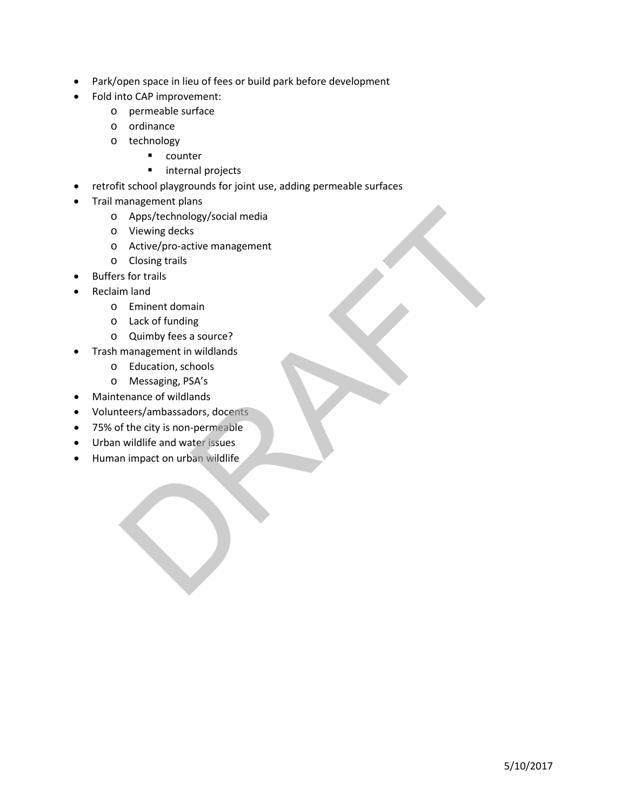- Park/open space in lieu of fees or build park before development
- Fold into CAP improvement:
	- o permeable surface
	- o ordinance
	- o technology
		- **•** counter
		- **I** internal projects
- retrofit school playgrounds for joint use, adding permeable surfaces
- Trail management plans
	- o Apps/technology/social media Apps/technology/social media<br>
	Viewing decks<br>
	Active/pro-active management<br>
	Closing trails<br>
	The Construction and Enforce Construction<br>
	The Constrainer domain<br>
	Lack of funding<br>
	Quimby fees a source?<br>
	Education, schools<br>
	Educ
	- o Viewing decks
	- o Active/pro-active management
	- o Closing trails
- Buffers for trails
- Reclaim land
	- o Eminent domain
	- o Lack of funding
	- o Quimby fees a source?
- Trash management in wildlands
	- o Education, schools
	- o Messaging, PSA's
- Maintenance of wildlands
- Volunteers/ambassadors, docents
- 75% of the city is non-permeable
- Urban wildlife and water issues
- Human impact on urban wildlife